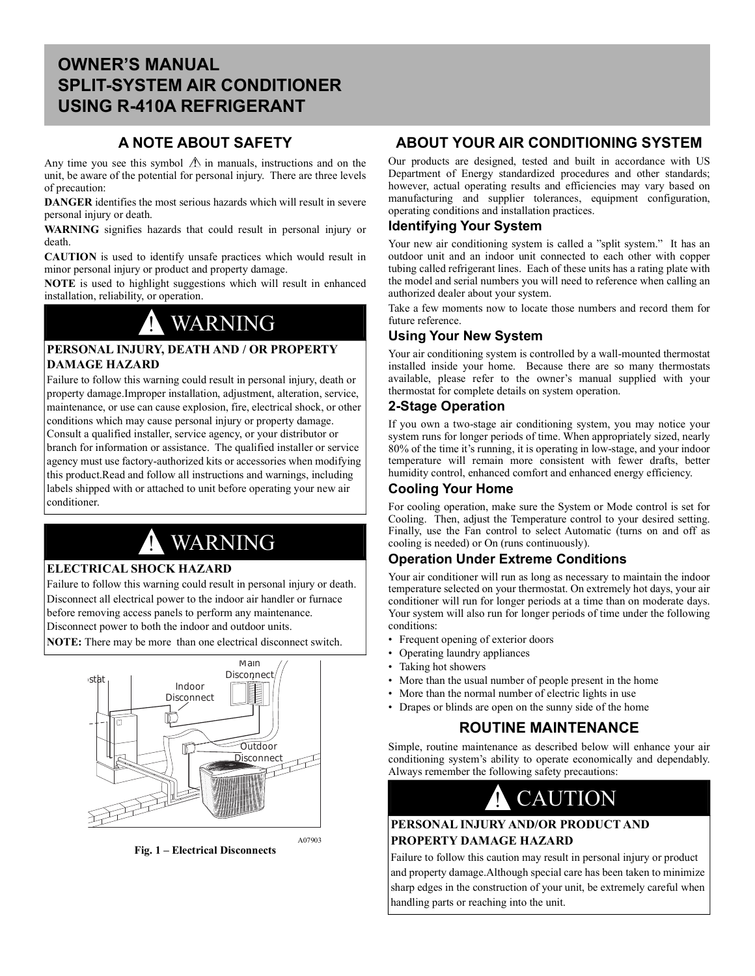# **OWNER'S MANUAL SPLIT-SYSTEM AIR CONDITIONER USING R-410A REFRIGERANT**

# **A NOTE ABOUT SAFETY**

Any time you see this symbol  $\triangle$  in manuals, instructions and on the unit, be aware of the potential for personal injury. There are three levels of precaution:

**DANGER** identifies the most serious hazards which will result in severe personal injury or death.

**WARNING** signifies hazards that could result in personal injury or death.

**CAUTION** is used to identify unsafe practices which would result in minor personal injury or product and property damage.

**NOTE** is used to highlight suggestions which will result in enhanced installation, reliability, or operation.

# ! WARNING

## **PERSONAL INJURY, DEATH AND / OR PROPERTY DAMAGE HAZARD**

Failure to follow this warning could result in personal injury, death or property damage.Improper installation, adjustment, alteration, service, maintenance, or use can cause explosion, fire, electrical shock, or other conditions which may cause personal injury or property damage. Consult a qualified installer, service agency, or your distributor or branch for information or assistance. The qualified installer or service agency must use factory-authorized kits or accessories when modifying this product.Read and follow all instructions and warnings, including labels shipped with or attached to unit before operating your new air conditioner.

# WARNING

# **ELECTRICAL SHOCK HAZARD**

Failure to follow this warning could result in personal injury or death. Disconnect all electrical power to the indoor air handler or furnace before removing access panels to perform any maintenance. Disconnect power to both the indoor and outdoor units.

**NOTE:** There may be more than one electrical disconnect switch.



**Fig. 1 – Electrical Disconnects**

# **ABOUT YOUR AIR CONDITIONING SYSTEM**

Our products are designed, tested and built in accordance with US Department of Energy standardized procedures and other standards; however, actual operating results and efficiencies may vary based on manufacturing and supplier tolerances, equipment configuration, operating conditions and installation practices.

## **Identifying Your System**

Your new air conditioning system is called a "split system." It has an outdoor unit and an indoor unit connected to each other with copper tubing called refrigerant lines. Each of these units has a rating plate with the model and serial numbers you will need to reference when calling an authorized dealer about your system.

Take a few moments now to locate those numbers and record them for future reference.

# **Using Your New System**

Your air conditioning system is controlled by a wall-mounted thermostat installed inside your home. Because there are so many thermostats available, please refer to the owner's manual supplied with your thermostat for complete details on system operation.

## **2-Stage Operation**

If you own a two-stage air conditioning system, you may notice your system runs for longer periods of time. When appropriately sized, nearly 80% of the time it's running, it is operating in low-stage, and your indoor temperature will remain more consistent with fewer drafts, better humidity control, enhanced comfort and enhanced energy efficiency.

## **Cooling Your Home**

For cooling operation, make sure the System or Mode control is set for Cooling. Then, adjust the Temperature control to your desired setting. Finally, use the Fan control to select Automatic (turns on and off as cooling is needed) or On (runs continuously).

# **Operation Under Extreme Conditions**

Your air conditioner will run as long as necessary to maintain the indoor temperature selected on your thermostat. On extremely hot days, your air conditioner will run for longer periods at a time than on moderate days. Your system will also run for longer periods of time under the following conditions:

- Frequent opening of exterior doors
- Operating laundry appliances
- Taking hot showers
- More than the usual number of people present in the home
- More than the normal number of electric lights in use
- Drapes or blinds are open on the sunny side of the home

# **ROUTINE MAINTENANCE**

Simple, routine maintenance as described below will enhance your air conditioning system's ability to operate economically and dependably. Always remember the following safety precautions:



## **PERSONAL INJURY AND/OR PRODUCT AND PROPERTY DAMAGE HAZARD**

Failure to follow this caution may result in personal injury or product and property damage.Although special care has been taken to minimize sharp edges in the construction of your unit, be extremely careful when handling parts or reaching into the unit.